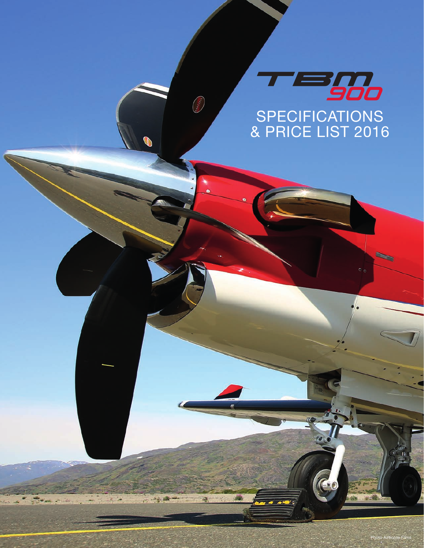

**KARTER** 

**PALLAN** 

52

Photo Airborne Films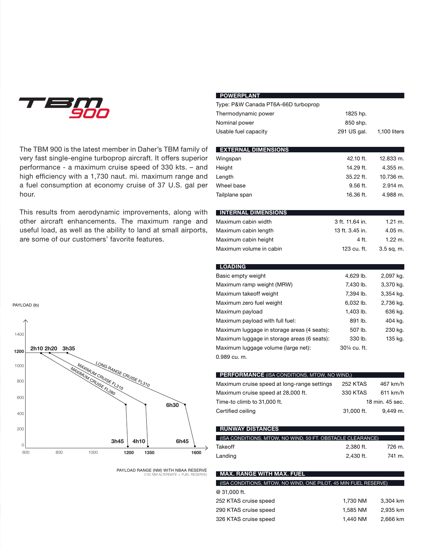

The TBM 900 is the latest member in Daher's TBM family of very fast single-engine turboprop aircraft. It offers superior performance - a maximum cruise speed of 330 kts. – and high efficiency with a 1,730 naut. mi. maximum range and a fuel consumption at economy cruise of 37 U.S. gal per hour.

This results from aerodynamic improvements, along with other aircraft enhancements. The maximum range and useful load, as well as the ability to land at small airports, are some of our customers' favorite features.

| <b>POWERPLANT</b>                                   |                 |                    |
|-----------------------------------------------------|-----------------|--------------------|
| Type: P&W Canada PT6A-66D turboprop                 |                 |                    |
| Thermodynamic power                                 | 1825 hp.        |                    |
| Nominal power                                       | 850 shp.        |                    |
| Usable fuel capacity                                | 291 US gal.     | 1,100 liters       |
|                                                     |                 |                    |
| <b>EXTERNAL DIMENSIONS</b>                          |                 |                    |
| Wingspan                                            | 42.10 ft.       | 12.833 m.          |
| Height                                              | 14.29 ft.       | 4.355 m.           |
| Length                                              | 35.22 ft.       | 10.736 m.          |
| Wheel base                                          | $9.56$ ft.      | $2.914$ m.         |
| Tailplane span                                      | 16.36 ft.       | 4.988 m.           |
|                                                     |                 |                    |
| <b>INTERNAL DIMENSIONS</b>                          |                 |                    |
| Maximum cabin width                                 | 3 ft. 11.64 in. | $1.21 \text{ m.}$  |
| Maximum cabin length                                | 13 ft. 3.45 in. | 4.05 m.            |
| Maximum cabin height                                | 4 ft.           | $1.22 \text{ m}$ . |
| Maximum volume in cabin                             | 123 cu. ft.     | $3.5$ sq. m.       |
| <b>LOADING</b>                                      |                 |                    |
| Basic empty weight                                  | 4,629 lb.       | 2,097 kg.          |
| Maximum ramp weight (MRW)                           | 7,430 lb.       | 3,370 kg.          |
| Maximum takeoff weight                              | 7,394 lb.       | 3,354 kg.          |
| Maximum zero fuel weight                            | 6,032 lb.       | 2,736 kg.          |
| Maximum payload                                     | 1,403 lb.       | 636 kg.            |
| Maximum payload with full fuel:                     | 891 lb.         | 404 kg.            |
| Maximum luggage in storage areas (4 seats):         | 507 lb.         | 230 kg.            |
| Maximum luggage in storage areas (6 seats):         | 330 lb.         | 135 kg.            |
| Maximum luggage volume (large net):                 | 301/4 cu. ft.   |                    |
| 0.989 cu. m.                                        |                 |                    |
|                                                     |                 |                    |
| <b>PERFORMANCE</b> (ISA CONDITIONS, MTOW, NO WIND,) |                 |                    |
| Maximum cruise speed at long-range settings         | <b>252 KTAS</b> | 467 km/h           |
| Maximum cruise speed at 28,000 ft.                  | 330 KTAS        | 611 km/h           |
| Time-to climb to 31,000 ft.                         |                 | 18 min. 45 sec.    |
| Certified ceiling                                   | 31,000 ft.      | 9.449 m.           |

| <b>RUNWAY DISTANCES</b>                                    |           |        |
|------------------------------------------------------------|-----------|--------|
| (ISA CONDITIONS, MTOW, NO WIND, 50 FT. OBSTACLE CLEARANCE) |           |        |
|                                                            |           |        |
| Takeoff                                                    | 2.380 ft. | 726 m. |
| Landing                                                    | 2.430 ft. | 741 m. |

### **Max. range with max. fuel**

| (ISA CONDITIONS, MTOW, NO WIND, ONE PILOT, 45 MIN FUEL RESERVE) |          |          |
|-----------------------------------------------------------------|----------|----------|
| $@31.000$ ft.                                                   |          |          |
| 252 KTAS cruise speed                                           | 1.730 NM | 3.304 km |
| 290 KTAS cruise speed                                           | 1.585 NM | 2.935 km |
| 326 KTAS cruise speed                                           | 1.440 NM | 2,666 km |





PAYLOAD RANGE (NM) WITH NBAA RESERVE (100 NM ALTERNATE + FUEL RESERVE)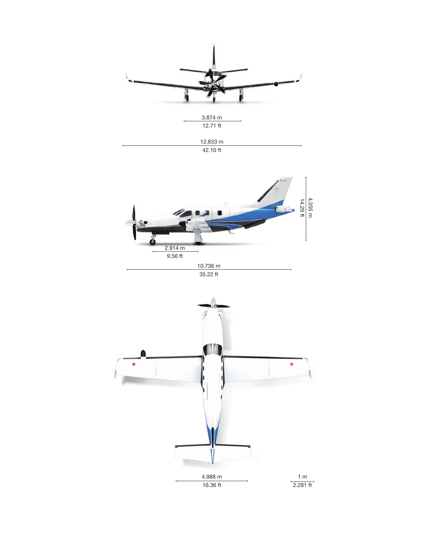

42.10 ft





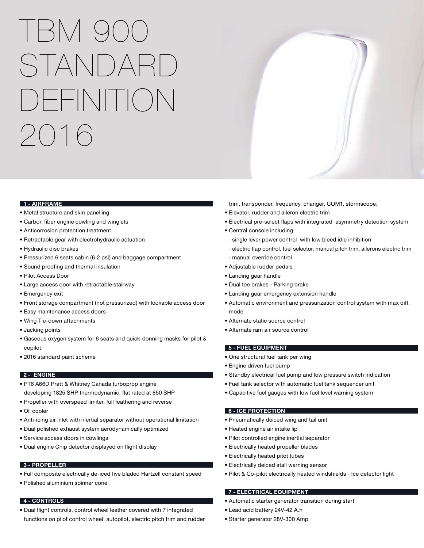I BM 9 STANDARD DEFINITION 2016

#### **1 - Airframe**

- Metal structure and skin panelling
- Carbon fiber engine cowling and winglets
- Anticorrosion protection treatment
- Retractable gear with electrohydraulic actuation
- Hydraulic disc brakes
- Pressurized 6 seats cabin (6.2 psi) and baggage compartment
- Sound proofing and thermal insulation
- Pilot Access Door
- Large access door with retractable stairway
- Emergency exit
- Front storage compartment (not pressurized) with lockable access door
- Easy maintenance access doors
- Wing Tie-down attachments
- Jacking points
- Gaseous oxygen system for 6 seats and quick-donning masks for pilot & copilot
- 2016 standard paint scheme

# **2 - Engine**

- PT6 A66D Pratt & Whitney Canada turboprop engine developing 1825 SHP thermodynamic, flat rated at 850 SHP
- Propeller with overspeed limiter, full feathering and reverse
- Oil cooler
- Anti-icing air inlet with inertial separator without operational limitation
- Dual polished exhaust system aerodynamically optimized
- Service access doors in cowlings
- Dual engine Chip detector displayed on flight display

#### **3 - Propeller**

- Full composite electrically de-iced five bladed Hartzell constant speed
- Polished aluminium spinner cone

# **4 - Controls**

• Dual flight controls, control wheel leather covered with 7 integrated functions on pilot control wheel: autopilot, electric pitch trim and rudder trim, transponder, frequency, changer, COM1, stormscope;

- Elevator, rudder and aileron electric trim
- Electrical pre-select flaps with integrated asymmetry detection system
- Central console including:
- single lever power control with low bleed idle inhibition
- electric flap control, fuel selector, manual pitch trim, ailerons electric trim
- manual override control
- Adjustable rudder pedals
- Landing gear handle
- Dual toe brakes Parking brake
- Landing gear emergency extension handle
- Automatic environment and pressurization control system with max diff. mode
- Alternate static source control
- Alternate ram air source control

# **5 - Fuel equipment**

- One structural fuel tank per wing
- Engine driven fuel pump
- Standby electrical fuel pump and low pressure switch indication
- Fuel tank selector with automatic fuel tank sequencer unit
- Capacitive fuel gauges with low fuel level warning system

# **6 - Ice protection**

- Pneumatically deiced wing and tail unit
- Heated engine air intake lip
- Pilot controlled engine inertial separator
- Electrically heated propeller blades
- Electrically heated pitot tubes
- Electrically deiced stall warning sensor
- Pilot & Co-pilot electrically heated windshields Ice detector light

#### **7 - Electrical Equipment**

- Automatic starter generator transition during start
- Lead acid battery 24V-42 A.h
- Starter generator 28V-300 Amp

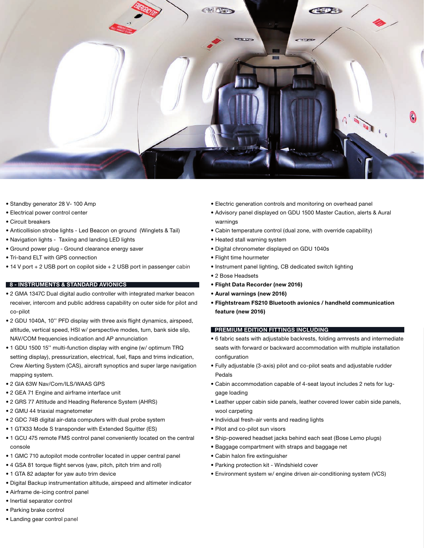

- Standby generator 28 V- 100 Amp
- Electrical power control center
- Circuit breakers
- Anticollision strobe lights Led Beacon on ground (Winglets & Tail)
- Navigation lights Taxiing and landing LED lights
- Ground power plug Ground clearance energy saver
- Tri-band ELT with GPS connection
- 14 V port + 2 USB port on copilot side + 2 USB port in passenger cabin

# **8 - Instruments & Standard avionics**

- 2 GMA 1347C Dual digital audio controller with integrated marker beacon receiver, intercom and public address capability on outer side for pilot and co-pilot
- 2 GDU 1040A, 10'' PFD display with three axis flight dynamics, airspeed, altitude, vertical speed, HSI w/ perspective modes, turn, bank side slip, NAV/COM frequencies indication and AP annunciation
- 1 GDU 1500 15'' multi-function display with engine (w/ optimum TRQ setting display), pressurization, electrical, fuel, flaps and trims indication, Crew Alerting System (CAS), aircraft synoptics and super large navigation mapping system.
- 2 GIA 63W Nav/Com/ILS/WAAS GPS
- 2 GEA 71 Engine and airframe interface unit
- 2 GRS 77 Attitude and Heading Reference System (AHRS)
- 2 GMU 44 triaxial magnetometer
- 2 GDC 74B digital air-data computers with dual probe system
- 1 GTX33 Mode S transponder with Extended Squitter (ES)
- 1 GCU 475 remote FMS control panel conveniently located on the central console
- 1 GMC 710 autopilot mode controller located in upper central panel
- 4 GSA 81 torque flight servos (yaw, pitch, pitch trim and roll)
- 1 GTA 82 adapter for yaw auto trim device
- Digital Backup instrumentation altitude, airspeed and altimeter indicator
- Airframe de-icing control panel
- Inertial separator control
- Parking brake control
- Landing gear control panel
- Electric generation controls and monitoring on overhead panel
- Advisory panel displayed on GDU 1500 Master Caution, alerts & Aural warnings
- Cabin temperature control (dual zone, with override capability)
- Heated stall warning system
- Digital chronometer displayed on GDU 1040s
- Flight time hourmeter
- Instrument panel lighting, CB dedicated switch lighting
- 2 Bose Headsets
- **Flight Data Recorder (new 2016)**
- **Aural warnings (new 2016)**
- **Flightstream FS210 Bluetooth avionics / handheld communication feature (new 2016)**

# **Premium Edition Fittings including**

- 6 fabric seats with adjustable backrests, folding armrests and intermediate seats with forward or backward accommodation with multiple installation configuration
- Fully adjustable (3-axis) pilot and co-pilot seats and adjustable rudder Pedals
- Cabin accommodation capable of 4-seat layout includes 2 nets for luggage loading
- Leather upper cabin side panels, leather covered lower cabin side panels, wool carpeting
- Individual fresh-air vents and reading lights
- Pilot and co-pilot sun visors
- Ship-powered headset jacks behind each seat (Bose Lemo plugs)
- Baggage compartment with straps and baggage net
- Cabin halon fire extinguisher
- Parking protection kit Windshield cover
- Environment system w/ engine driven air-conditioning system (VCS)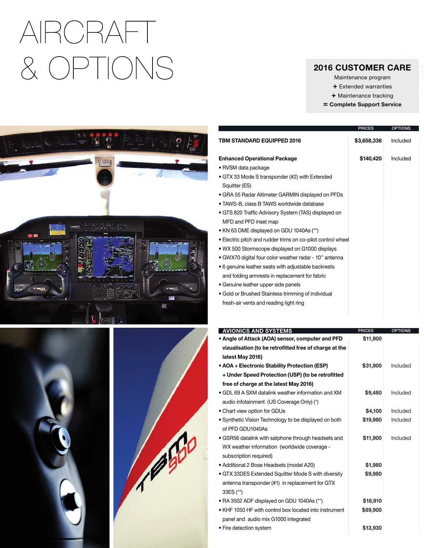# AIRCRAFT & OPTIONS

# 2016 CUSTOMER CARE

- Maintenance program
- + Extended warranties
- + Maintenance tracking
- = Complete Support Service







|                                                             | <b>PRICES</b> | <b>OPTIONS</b> |
|-------------------------------------------------------------|---------------|----------------|
| <b>TBM STANDARD EQUIPPED 2016</b>                           | \$3,658,336   | Included       |
| <b>Enhanced Operational Package</b>                         | \$140,420     | Included       |
| • RVSM data package                                         |               |                |
| • GTX 33 Mode S transponder (#2) with Extended              |               |                |
| Squitter (ES)                                               |               |                |
| • GRA 55 Radar Altimeter GARMIN displayed on PFDs           |               |                |
| • TAWS-B, class B TAWS worldwide database                   |               |                |
| • GTS 820 Traffic Advisory System (TAS) displayed on        |               |                |
| MFD and PFD inset map                                       |               |                |
| • KN 63 DME displayed on GDU 1040As (**)                    |               |                |
| • Electric pitch and rudder trims on co-pilot control wheel |               |                |
| • WX 500 Stormscope displayed on G1000 displays             |               |                |
| • GWX70 digital four color weather radar - 10" antenna      |               |                |
| • 6 genuine leather seats with adjustable backrests         |               |                |
| and folding armrests in replacement for fabric              |               |                |
| • Genuine leather upper side panels                         |               |                |
| • Gold or Brushed Stainless trimming of individual          |               |                |
| fresh-air vents and reading light ring                      |               |                |

| <b>AVIONICS AND SYSTEMS</b>                            | <b>PRICES</b> | <b>OPTIONS</b> |
|--------------------------------------------------------|---------------|----------------|
| • Angle of Attack (AOA) sensor, computer and PFD       | \$11,900      |                |
| vizualisation (to be retrofitted free of charge at the |               |                |
| latest May 2016)                                       |               |                |
| • AOA + Electronic Stability Protection (ESP)          | \$31,900      | Included       |
| + Under Speed Protection (USP) (to be retrofitted      |               |                |
| free of charge at the latest May 2016)                 |               |                |
| • GDL 69 A SXM datalink weather information and XM     | \$9,480       | Included       |
| audio infotainment (US Coverage Only) (*)              |               |                |
| • Chart view option for GDUs                           | \$4,100       | Included       |
| • Synthetic Vision Technology to be displayed on both  | \$19,980      | Included       |
| of PFD GDU1040As                                       |               |                |
| • GSR56 datalink with satphone through headsets and    | \$11,900      | Included       |
| WX weather information (worldwide coverage -           |               |                |

- subscription required) • Additional 2 Bose Headsets (model A20) • GTX 33DES Extended Squitter Mode S with diversity antenna transponder (#1) in replacement for GTX 33ES (\*\*) • RA 3502 ADF displayed on GDU 1040As (\*\*) • KHF 1050 HF with control box located into instrument panel and audio mix G1000 integrated **\$1,980 \$9,980 \$18,910 \$89,900**
- Fire detection system **\$13,930**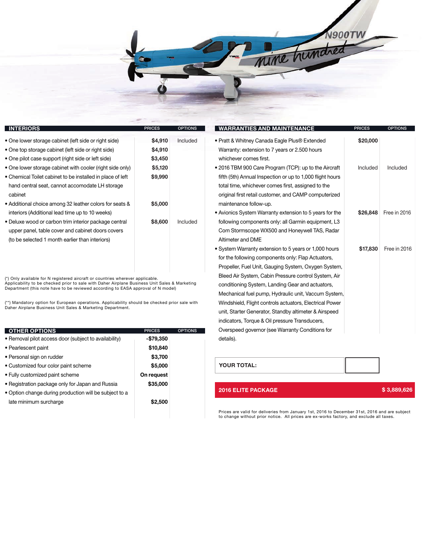

| <b>INTERIORS</b>                                           | <b>PRICES</b> | <b>OPTIONS</b> |
|------------------------------------------------------------|---------------|----------------|
| • One lower storage cabinet (left side or right side)      | \$4,910       | Included       |
| • One top storage cabinet (left side or right side)        | \$4,910       |                |
| • One pilot case support (right side or left side)         | \$3,450       |                |
| • One lower storage cabinet with cooler (right side only)  | \$5,120       |                |
| • Chemical Toilet cabinet to be installed in place of left | \$9,990       |                |
| hand central seat, cannot accomodate LH storage            |               |                |
| cabinet                                                    |               |                |
| • Additional choice among 32 leather colors for seats &    | \$5,000       |                |
| interiors (Additional lead time up to 10 weeks)            |               |                |
| • Deluxe wood or carbon trim interior package central      | \$8,600       | Included       |
| upper panel, table cover and cabinet doors covers          |               |                |
| (to be selected 1 month earlier than interiors)            |               |                |
|                                                            |               |                |

(\*) Only available for N registered aircraft or countries wherever applicable. Applicability to be checked prior to sale with Daher Airplane Business Unit Sales & Marketing Department (this note have to be reviewed according to EASA approval of N model)

(\*\*) Mandatory option for European operations. Applicability should be checked prior sale with Daher Airplane Business Unit Sales & Marketing Department.

| <b>OTHER OPTIONS</b>                                   | <b>PRICES</b> | <b>OPTIONS</b> |
|--------------------------------------------------------|---------------|----------------|
| • Removal pilot access door (subject to availability)  | $-$79,350$    |                |
| • Pearlescent paint                                    | \$10,840      |                |
| • Personal sign on rudder                              | \$3,700       |                |
| • Customized four color paint scheme                   | \$5,000       |                |
| • Fully customized paint scheme                        | On request    |                |
| • Registration package only for Japan and Russia       | \$35,000      |                |
| • Option change during production will be subject to a |               |                |
| late minimum surcharge                                 | \$2,500       |                |
|                                                        |               |                |
|                                                        |               |                |

| <b>OPTIONS</b>   | <b>WARRANTIES AND MAINTENANCE</b>                         | <b>PRICES</b> | <b>OPTIONS</b> |
|------------------|-----------------------------------------------------------|---------------|----------------|
| Included         | • Pratt & Whitney Canada Eagle Plus® Extended             | \$20,000      |                |
|                  | Warranty: extension to 7 years or 2.500 hours             |               |                |
|                  | whichever comes first.                                    |               |                |
|                  | • 2016 TBM 900 Care Program (TCP): up to the Aircraft     | Included      | Included       |
|                  | fifth (5th) Annual Inspection or up to 1,000 flight hours |               |                |
|                  | total time, whichever comes first, assigned to the        |               |                |
|                  | original first retail customer, and CAMP computerized     |               |                |
|                  | maintenance follow-up.                                    |               |                |
|                  | • Avionics System Warranty extension to 5 years for the   | \$26,848      | Free in 2016   |
| Included         | following components only: all Garmin equipment, L3       |               |                |
|                  | Com Stormscope WX500 and Honeywell TAS, Radar             |               |                |
|                  | Altimeter and DME                                         |               |                |
|                  | • System Warranty extension to 5 years or 1,000 hours     | \$17,830      | Free in 2016   |
|                  | for the following components only: Flap Actuators,        |               |                |
|                  | Propeller, Fuel Unit, Gauging System, Oxygen System,      |               |                |
|                  | Bleed Air System, Cabin Pressure control System, Air      |               |                |
| <b>Aarketing</b> | conditioning System, Landing Gear and actuators,          |               |                |
|                  | Mechanical fuel pump, Hydraulic unit, Vaccum System,      |               |                |
| sale with        | Windshield, Flight controls actuators, Electrical Power   |               |                |
|                  | unit, Starter Generator, Standby altimeter & Airspeed     |               |                |
|                  | indicators, Torque & Oil pressure Transducers,            |               |                |
| <b>OPTIONS</b>   | Overspeed governor (see Warranty Conditions for           |               |                |
|                  | details).                                                 |               |                |
|                  |                                                           |               |                |

| <b>YOUR TOTAL:</b> |  |
|--------------------|--|
|                    |  |

# **2016 ELITE PACKAGE \$ 3,889,626**

Prices are valid for deliveries from January 1st, 2016 to December 31st, 2016 and are subject to change without prior notice. All prices are ex-works factory, and exclude all taxes.